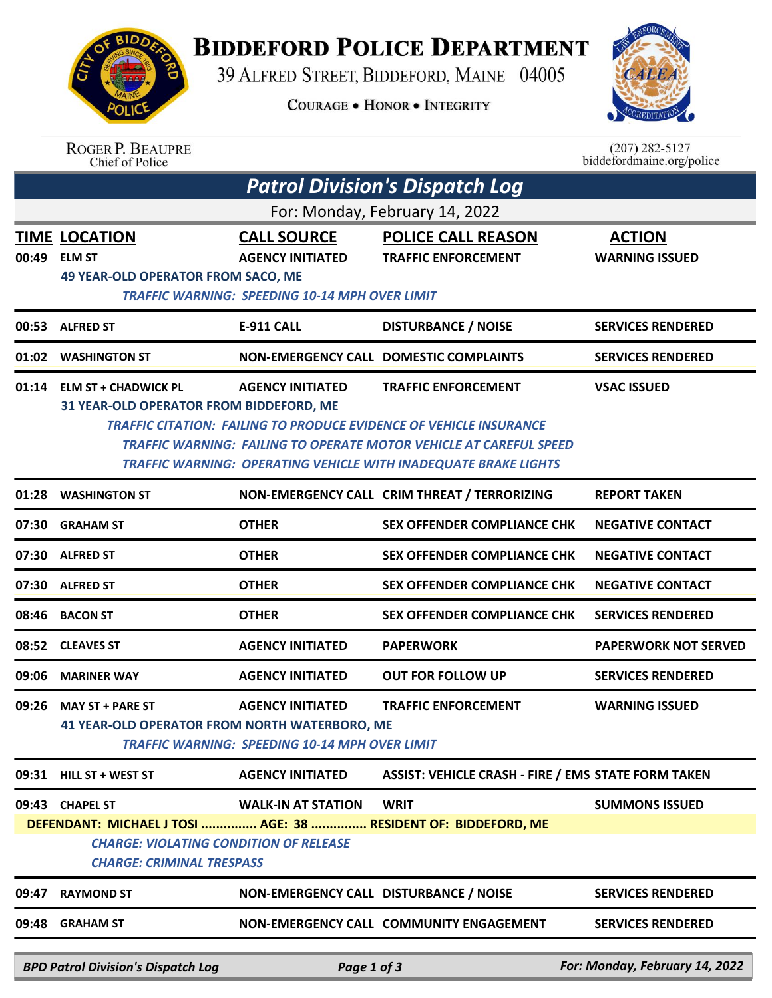

## **BIDDEFORD POLICE DEPARTMENT**

39 ALFRED STREET, BIDDEFORD, MAINE 04005

**COURAGE . HONOR . INTEGRITY** 



| <b>ROGER P. BEAUPRE</b> |
|-------------------------|
| Chief of Police         |

 $(207)$  282-5127<br>biddefordmaine.org/police

|                                | <b>Patrol Division's Dispatch Log</b>                                                                                                                                                                                                                                                                                                                                             |                                               |                                                            |                                        |  |  |  |  |  |  |
|--------------------------------|-----------------------------------------------------------------------------------------------------------------------------------------------------------------------------------------------------------------------------------------------------------------------------------------------------------------------------------------------------------------------------------|-----------------------------------------------|------------------------------------------------------------|----------------------------------------|--|--|--|--|--|--|
| For: Monday, February 14, 2022 |                                                                                                                                                                                                                                                                                                                                                                                   |                                               |                                                            |                                        |  |  |  |  |  |  |
|                                | <b>TIME LOCATION</b><br>00:49 ELM ST<br><b>49 YEAR-OLD OPERATOR FROM SACO, ME</b>                                                                                                                                                                                                                                                                                                 | <b>CALL SOURCE</b><br><b>AGENCY INITIATED</b> | <b>POLICE CALL REASON</b><br><b>TRAFFIC ENFORCEMENT</b>    | <b>ACTION</b><br><b>WARNING ISSUED</b> |  |  |  |  |  |  |
|                                | TRAFFIC WARNING: SPEEDING 10-14 MPH OVER LIMIT                                                                                                                                                                                                                                                                                                                                    |                                               |                                                            |                                        |  |  |  |  |  |  |
|                                | 00:53 ALFRED ST                                                                                                                                                                                                                                                                                                                                                                   | <b>E-911 CALL</b>                             | <b>DISTURBANCE / NOISE</b>                                 | <b>SERVICES RENDERED</b>               |  |  |  |  |  |  |
|                                | 01:02 WASHINGTON ST                                                                                                                                                                                                                                                                                                                                                               |                                               | NON-EMERGENCY CALL DOMESTIC COMPLAINTS                     | <b>SERVICES RENDERED</b>               |  |  |  |  |  |  |
|                                | <b>AGENCY INITIATED</b><br><b>TRAFFIC ENFORCEMENT</b><br><b>VSAC ISSUED</b><br>01:14 ELM ST + CHADWICK PL<br>31 YEAR-OLD OPERATOR FROM BIDDEFORD, ME<br><b>TRAFFIC CITATION: FAILING TO PRODUCE EVIDENCE OF VEHICLE INSURANCE</b><br>TRAFFIC WARNING: FAILING TO OPERATE MOTOR VEHICLE AT CAREFUL SPEED<br><b>TRAFFIC WARNING: OPERATING VEHICLE WITH INADEQUATE BRAKE LIGHTS</b> |                                               |                                                            |                                        |  |  |  |  |  |  |
| 01:28                          | <b>WASHINGTON ST</b>                                                                                                                                                                                                                                                                                                                                                              |                                               | NON-EMERGENCY CALL CRIM THREAT / TERRORIZING               | <b>REPORT TAKEN</b>                    |  |  |  |  |  |  |
| 07:30                          | <b>GRAHAM ST</b>                                                                                                                                                                                                                                                                                                                                                                  | <b>OTHER</b>                                  | <b>SEX OFFENDER COMPLIANCE CHK</b>                         | <b>NEGATIVE CONTACT</b>                |  |  |  |  |  |  |
|                                | 07:30 ALFRED ST                                                                                                                                                                                                                                                                                                                                                                   | <b>OTHER</b>                                  | <b>SEX OFFENDER COMPLIANCE CHK</b>                         | <b>NEGATIVE CONTACT</b>                |  |  |  |  |  |  |
|                                | 07:30 ALFRED ST                                                                                                                                                                                                                                                                                                                                                                   | <b>OTHER</b>                                  | <b>SEX OFFENDER COMPLIANCE CHK</b>                         | <b>NEGATIVE CONTACT</b>                |  |  |  |  |  |  |
| 08:46                          | <b>BACON ST</b>                                                                                                                                                                                                                                                                                                                                                                   | <b>OTHER</b>                                  | <b>SEX OFFENDER COMPLIANCE CHK</b>                         | <b>SERVICES RENDERED</b>               |  |  |  |  |  |  |
|                                | 08:52 CLEAVES ST                                                                                                                                                                                                                                                                                                                                                                  | <b>AGENCY INITIATED</b>                       | <b>PAPERWORK</b>                                           | <b>PAPERWORK NOT SERVED</b>            |  |  |  |  |  |  |
| 09:06                          | <b>MARINER WAY</b>                                                                                                                                                                                                                                                                                                                                                                | <b>AGENCY INITIATED</b>                       | <b>OUT FOR FOLLOW UP</b>                                   | <b>SERVICES RENDERED</b>               |  |  |  |  |  |  |
| 09:26                          | <b>AGENCY INITIATED</b><br><b>TRAFFIC ENFORCEMENT</b><br><b>WARNING ISSUED</b><br><b>MAY ST + PARE ST</b><br><b>41 YEAR-OLD OPERATOR FROM NORTH WATERBORO, ME</b><br><b>TRAFFIC WARNING: SPEEDING 10-14 MPH OVER LIMIT</b>                                                                                                                                                        |                                               |                                                            |                                        |  |  |  |  |  |  |
|                                | 09:31 HILL ST + WEST ST                                                                                                                                                                                                                                                                                                                                                           | <b>AGENCY INITIATED</b>                       | <b>ASSIST: VEHICLE CRASH - FIRE / EMS STATE FORM TAKEN</b> |                                        |  |  |  |  |  |  |
|                                | 09:43 CHAPEL ST<br>DEFENDANT: MICHAEL J TOSI  AGE: 38  RESIDENT OF: BIDDEFORD, ME<br><b>CHARGE: VIOLATING CONDITION OF RELEASE</b><br><b>CHARGE: CRIMINAL TRESPASS</b>                                                                                                                                                                                                            | <b>WALK-IN AT STATION</b>                     | <b>WRIT</b>                                                | <b>SUMMONS ISSUED</b>                  |  |  |  |  |  |  |
| 09:47                          | <b>RAYMOND ST</b>                                                                                                                                                                                                                                                                                                                                                                 |                                               | NON-EMERGENCY CALL DISTURBANCE / NOISE                     | <b>SERVICES RENDERED</b>               |  |  |  |  |  |  |
|                                | 09:48 GRAHAM ST                                                                                                                                                                                                                                                                                                                                                                   |                                               | NON-EMERGENCY CALL COMMUNITY ENGAGEMENT                    | <b>SERVICES RENDERED</b>               |  |  |  |  |  |  |
|                                | <b>BPD Patrol Division's Dispatch Log</b>                                                                                                                                                                                                                                                                                                                                         | Page 1 of 3                                   |                                                            | For: Monday, February 14, 2022         |  |  |  |  |  |  |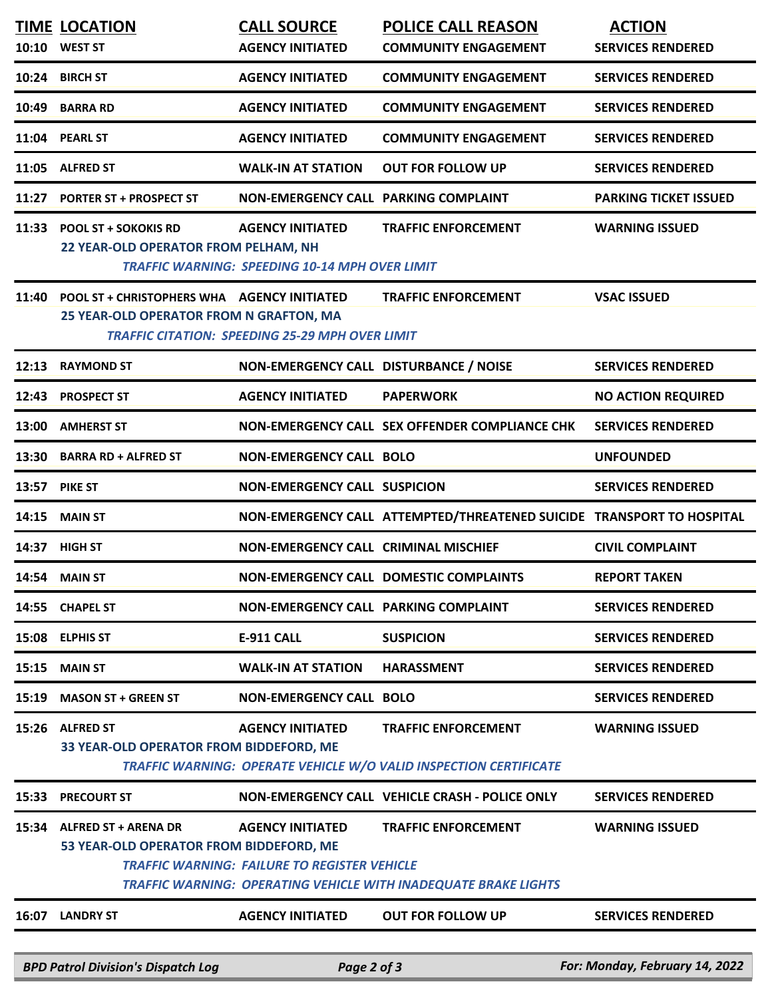|       | <b>BPD Patrol Division's Dispatch Log</b>                                                     | Page 2 of 3                                            |                                                                                                        | For: Monday, February 14, 2022 |
|-------|-----------------------------------------------------------------------------------------------|--------------------------------------------------------|--------------------------------------------------------------------------------------------------------|--------------------------------|
| 16:07 | <b>LANDRY ST</b>                                                                              | <b>AGENCY INITIATED</b>                                | <b>OUT FOR FOLLOW UP</b>                                                                               | <b>SERVICES RENDERED</b>       |
|       |                                                                                               | <b>TRAFFIC WARNING: FAILURE TO REGISTER VEHICLE</b>    | <b>TRAFFIC WARNING: OPERATING VEHICLE WITH INADEQUATE BRAKE LIGHTS</b>                                 |                                |
|       | 15:34 ALFRED ST + ARENA DR<br>53 YEAR-OLD OPERATOR FROM BIDDEFORD, ME                         | <b>AGENCY INITIATED</b>                                | <b>TRAFFIC ENFORCEMENT</b>                                                                             | <b>WARNING ISSUED</b>          |
| 15:33 | <b>PRECOURT ST</b>                                                                            |                                                        | NON-EMERGENCY CALL VEHICLE CRASH - POLICE ONLY                                                         | <b>SERVICES RENDERED</b>       |
| 15:26 | <b>ALFRED ST</b><br>33 YEAR-OLD OPERATOR FROM BIDDEFORD, ME                                   | <b>AGENCY INITIATED</b>                                | <b>TRAFFIC ENFORCEMENT</b><br><b>TRAFFIC WARNING: OPERATE VEHICLE W/O VALID INSPECTION CERTIFICATE</b> | <b>WARNING ISSUED</b>          |
| 15:19 | <b>MASON ST + GREEN ST</b>                                                                    | <b>NON-EMERGENCY CALL BOLO</b>                         |                                                                                                        | <b>SERVICES RENDERED</b>       |
| 15:15 | <b>MAIN ST</b>                                                                                | <b>WALK-IN AT STATION</b>                              | <b>HARASSMENT</b>                                                                                      | <b>SERVICES RENDERED</b>       |
| 15:08 | <b>ELPHIS ST</b>                                                                              | <b>E-911 CALL</b>                                      | <b>SUSPICION</b>                                                                                       | <b>SERVICES RENDERED</b>       |
|       | 14:55 CHAPEL ST                                                                               | NON-EMERGENCY CALL PARKING COMPLAINT                   |                                                                                                        | <b>SERVICES RENDERED</b>       |
|       | 14:54 MAIN ST                                                                                 |                                                        | NON-EMERGENCY CALL DOMESTIC COMPLAINTS                                                                 | <b>REPORT TAKEN</b>            |
| 14:37 | <b>HIGH ST</b>                                                                                | NON-EMERGENCY CALL CRIMINAL MISCHIEF                   |                                                                                                        | <b>CIVIL COMPLAINT</b>         |
| 14:15 | <b>MAIN ST</b>                                                                                |                                                        | NON-EMERGENCY CALL ATTEMPTED/THREATENED SUICIDE TRANSPORT TO HOSPITAL                                  |                                |
| 13:57 | <b>PIKE ST</b>                                                                                | <b>NON-EMERGENCY CALL SUSPICION</b>                    |                                                                                                        | <b>SERVICES RENDERED</b>       |
| 13:30 | <b>BARRA RD + ALFRED ST</b>                                                                   | <b>NON-EMERGENCY CALL BOLO</b>                         |                                                                                                        | <b>UNFOUNDED</b>               |
| 13:00 | <b>AMHERST ST</b>                                                                             |                                                        | NON-EMERGENCY CALL SEX OFFENDER COMPLIANCE CHK                                                         | <b>SERVICES RENDERED</b>       |
|       | 12:43 PROSPECT ST                                                                             | <b>AGENCY INITIATED</b>                                | <b>PAPERWORK</b>                                                                                       | <b>NO ACTION REQUIRED</b>      |
| 12:13 | <b>RAYMOND ST</b>                                                                             | NON-EMERGENCY CALL DISTURBANCE / NOISE                 |                                                                                                        | <b>SERVICES RENDERED</b>       |
| 11:40 | <b>POOL ST + CHRISTOPHERS WHA AGENCY INITIATED</b><br>25 YEAR-OLD OPERATOR FROM N GRAFTON, MA | <b>TRAFFIC CITATION: SPEEDING 25-29 MPH OVER LIMIT</b> | <b>TRAFFIC ENFORCEMENT</b>                                                                             | <b>VSAC ISSUED</b>             |
|       | 22 YEAR-OLD OPERATOR FROM PELHAM, NH                                                          | <b>TRAFFIC WARNING: SPEEDING 10-14 MPH OVER LIMIT</b>  |                                                                                                        |                                |
| 11:33 | <b>POOL ST + SOKOKIS RD</b>                                                                   | <b>AGENCY INITIATED</b>                                | <b>TRAFFIC ENFORCEMENT</b>                                                                             | <b>WARNING ISSUED</b>          |
| 11:27 | <b>PORTER ST + PROSPECT ST</b>                                                                | NON-EMERGENCY CALL PARKING COMPLAINT                   |                                                                                                        | <b>PARKING TICKET ISSUED</b>   |
|       | 11:05 ALFRED ST                                                                               | <b>WALK-IN AT STATION</b>                              | <b>OUT FOR FOLLOW UP</b>                                                                               | <b>SERVICES RENDERED</b>       |
|       | 11:04 PEARL ST                                                                                | <b>AGENCY INITIATED</b>                                | <b>COMMUNITY ENGAGEMENT</b>                                                                            | <b>SERVICES RENDERED</b>       |
|       | 10:49 BARRA RD                                                                                | <b>AGENCY INITIATED</b>                                | <b>COMMUNITY ENGAGEMENT</b>                                                                            | <b>SERVICES RENDERED</b>       |
|       | 10:24 BIRCH ST                                                                                | <b>AGENCY INITIATED</b>                                | <b>COMMUNITY ENGAGEMENT</b>                                                                            | <b>SERVICES RENDERED</b>       |
|       | 10:10 WEST ST                                                                                 | <b>AGENCY INITIATED</b>                                | <b>COMMUNITY ENGAGEMENT</b>                                                                            | <b>SERVICES RENDERED</b>       |
|       | <b>TIME LOCATION</b>                                                                          | <b>CALL SOURCE</b>                                     | <b>POLICE CALL REASON</b>                                                                              | <b>ACTION</b>                  |